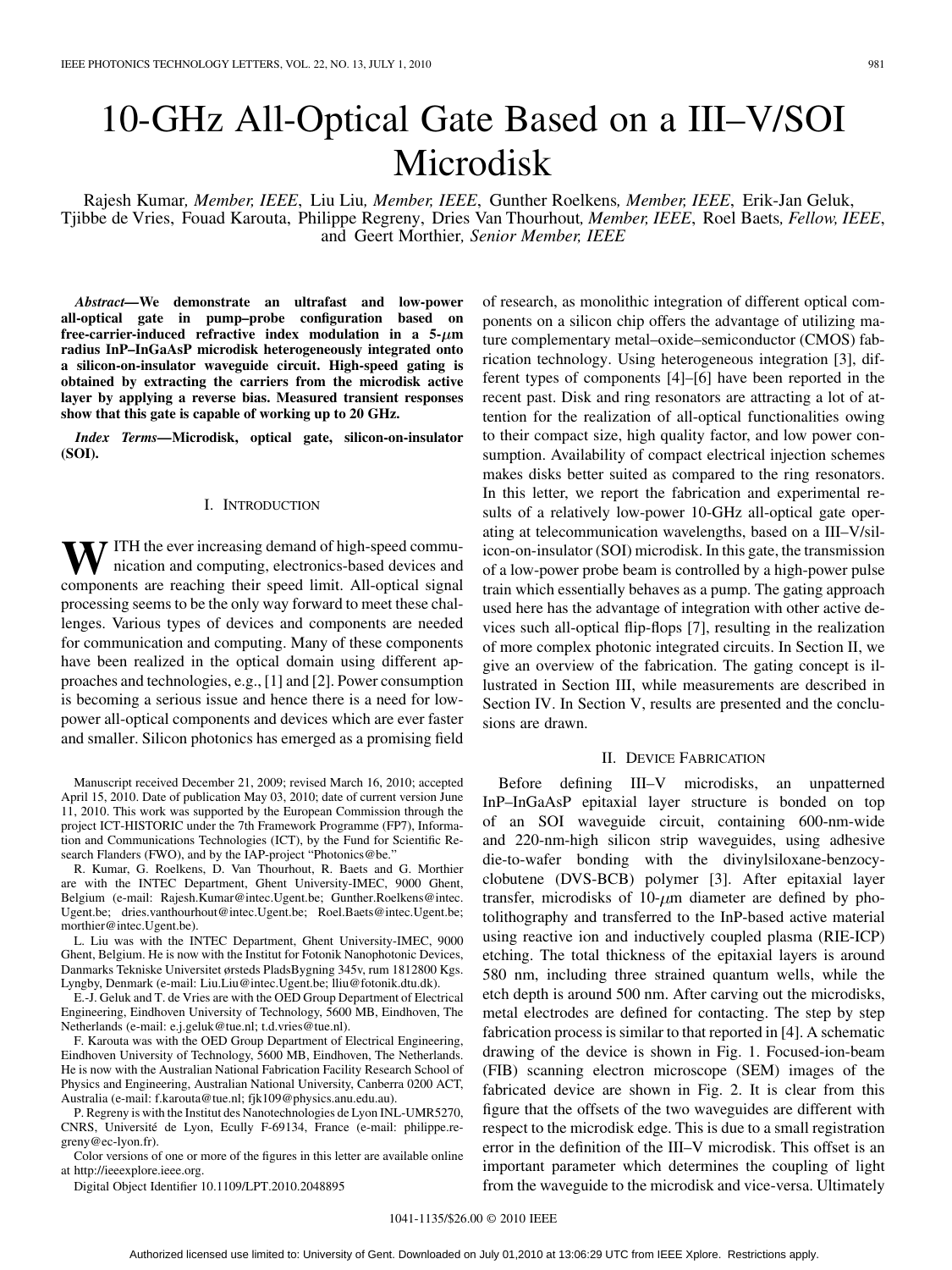# 10-GHz All-Optical Gate Based on a III–V/SOI Microdisk

Rajesh Kumar*, Member, IEEE*, Liu Liu*, Member, IEEE*, Gunther Roelkens*, Member, IEEE*, Erik-Jan Geluk, Tjibbe de Vries, Fouad Karouta, Philippe Regreny, Dries Van Thourhout*, Member, IEEE*, Roel Baets*, Fellow, IEEE*, and Geert Morthier*, Senior Member, IEEE*

*Abstract—***We demonstrate an ultrafast and low-power all-optical gate in pump–probe configuration based on** free-carrier-induced refractive index modulation in a  $5-\mu m$ **radius InP–InGaAsP microdisk heterogeneously integrated onto a silicon-on-insulator waveguide circuit. High-speed gating is obtained by extracting the carriers from the microdisk active layer by applying a reverse bias. Measured transient responses show that this gate is capable of working up to 20 GHz.**

*Index Terms—***Microdisk, optical gate, silicon-on-insulator (SOI).**

# I. INTRODUCTION

W ITH the ever increasing demand of high-speed communication and computing, electronics-based devices and components are reaching their speed limit. All-optical signal processing seems to be the only way forward to meet these challenges. Various types of devices and components are needed for communication and computing. Many of these components have been realized in the optical domain using different approaches and technologies, e.g., [1] and [2]. Power consumption is becoming a serious issue and hence there is a need for lowpower all-optical components and devices which are ever faster and smaller. Silicon photonics has emerged as a promising field

Manuscript received December 21, 2009; revised March 16, 2010; accepted April 15, 2010. Date of publication May 03, 2010; date of current version June 11, 2010. This work was supported by the European Commission through the project ICT-HISTORIC under the 7th Framework Programme (FP7), Information and Communications Technologies (ICT), by the Fund for Scientific Research Flanders (FWO), and by the IAP-project "Photonics@be."

R. Kumar, G. Roelkens, D. Van Thourhout, R. Baets and G. Morthier are with the INTEC Department, Ghent University-IMEC, 9000 Ghent, Belgium (e-mail: Rajesh.Kumar@intec.Ugent.be; Gunther.Roelkens@intec. Ugent.be; dries.vanthourhout@intec.Ugent.be; Roel.Baets@intec.Ugent.be; morthier@intec.Ugent.be).

L. Liu was with the INTEC Department, Ghent University-IMEC, 9000 Ghent, Belgium. He is now with the Institut for Fotonik Nanophotonic Devices, Danmarks Tekniske Universitet ørsteds PladsBygning 345v, rum 1812800 Kgs. Lyngby, Denmark (e-mail: Liu.Liu@intec.Ugent.be; lliu@fotonik.dtu.dk).

E.-J. Geluk and T. de Vries are with the OED Group Department of Electrical Engineering, Eindhoven University of Technology, 5600 MB, Eindhoven, The Netherlands (e-mail: e.j.geluk@tue.nl; t.d.vries@tue.nl).

F. Karouta was with the OED Group Department of Electrical Engineering, Eindhoven University of Technology, 5600 MB, Eindhoven, The Netherlands. He is now with the Australian National Fabrication Facility Research School of Physics and Engineering, Australian National University, Canberra 0200 ACT, Australia (e-mail: f.karouta@tue.nl; fjk109@physics.anu.edu.au).

P. Regreny is with the Institut des Nanotechnologies de Lyon INL-UMR5270, CNRS, Université de Lyon, Ecully F-69134, France (e-mail: philippe.regreny@ec-lyon.fr).

Color versions of one or more of the figures in this letter are available online at http://ieeexplore.ieee.org.

Digital Object Identifier 10.1109/LPT.2010.2048895

of research, as monolithic integration of different optical components on a silicon chip offers the advantage of utilizing mature complementary metal–oxide–semiconductor (CMOS) fabrication technology. Using heterogeneous integration [3], different types of components [4]–[6] have been reported in the recent past. Disk and ring resonators are attracting a lot of attention for the realization of all-optical functionalities owing to their compact size, high quality factor, and low power consumption. Availability of compact electrical injection schemes makes disks better suited as compared to the ring resonators. In this letter, we report the fabrication and experimental results of a relatively low-power 10-GHz all-optical gate operating at telecommunication wavelengths, based on a III–V/silicon-on-insulator (SOI) microdisk. In this gate, the transmission of a low-power probe beam is controlled by a high-power pulse train which essentially behaves as a pump. The gating approach used here has the advantage of integration with other active devices such all-optical flip-flops [7], resulting in the realization of more complex photonic integrated circuits. In Section II, we give an overview of the fabrication. The gating concept is illustrated in Section III, while measurements are described in Section IV. In Section V, results are presented and the conclusions are drawn.

# II. DEVICE FABRICATION

Before defining III–V microdisks, an unpatterned InP–InGaAsP epitaxial layer structure is bonded on top of an SOI waveguide circuit, containing 600-nm-wide and 220-nm-high silicon strip waveguides, using adhesive die-to-wafer bonding with the divinylsiloxane-benzocyclobutene (DVS-BCB) polymer [3]. After epitaxial layer transfer, microdisks of  $10$ - $\mu$ m diameter are defined by photolithography and transferred to the InP-based active material using reactive ion and inductively coupled plasma (RIE-ICP) etching. The total thickness of the epitaxial layers is around 580 nm, including three strained quantum wells, while the etch depth is around 500 nm. After carving out the microdisks, metal electrodes are defined for contacting. The step by step fabrication process is similar to that reported in [4]. A schematic drawing of the device is shown in Fig. 1. Focused-ion-beam (FIB) scanning electron microscope (SEM) images of the fabricated device are shown in Fig. 2. It is clear from this figure that the offsets of the two waveguides are different with respect to the microdisk edge. This is due to a small registration error in the definition of the III–V microdisk. This offset is an important parameter which determines the coupling of light from the waveguide to the microdisk and vice-versa. Ultimately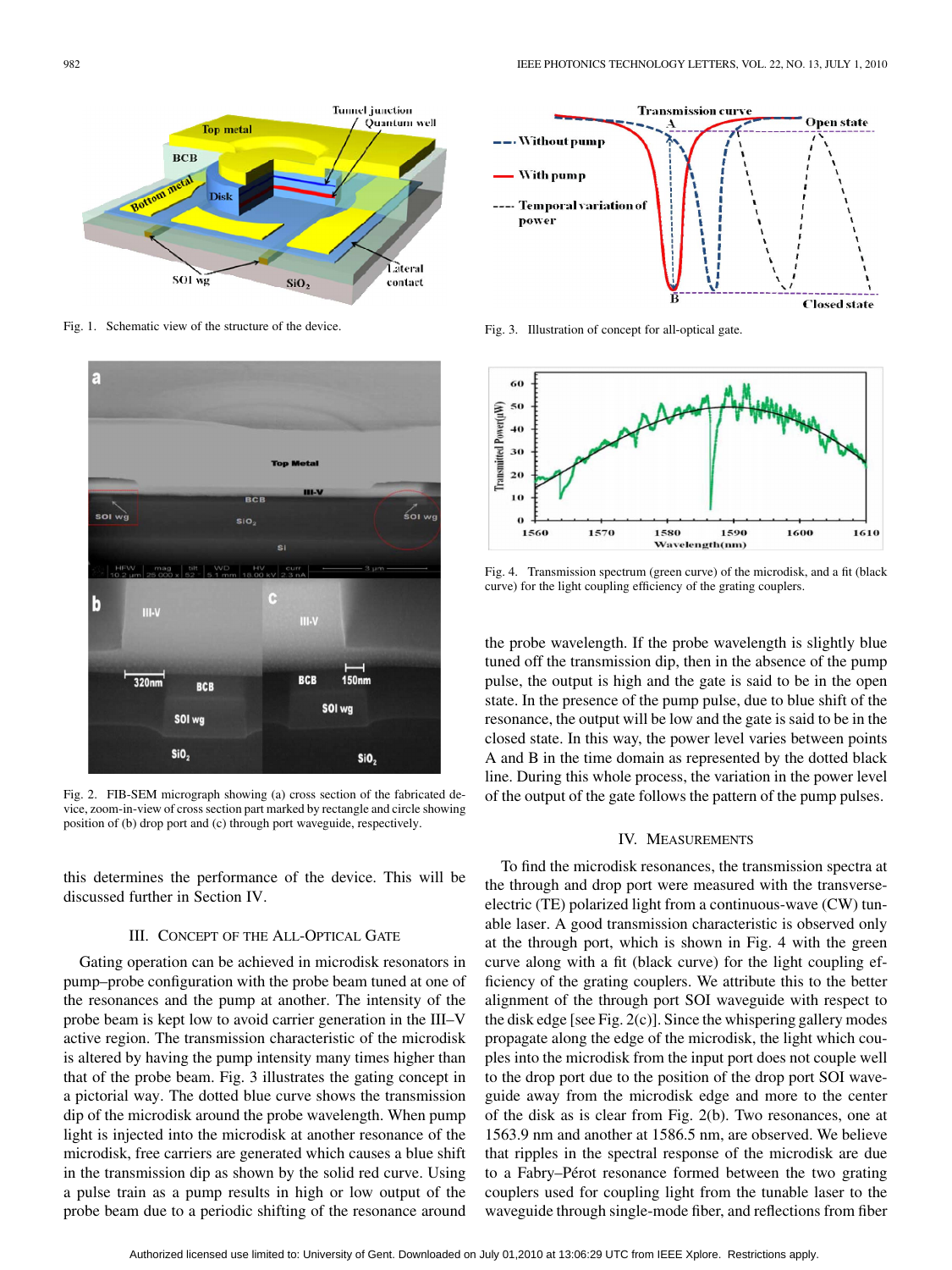

Fig. 1. Schematic view of the structure of the device.



Fig. 2. FIB-SEM micrograph showing (a) cross section of the fabricated device, zoom-in-view of cross section part marked by rectangle and circle showing position of (b) drop port and (c) through port waveguide, respectively.

this determines the performance of the device. This will be discussed further in Section IV.

# III. CONCEPT OF THE ALL-OPTICAL GATE

Gating operation can be achieved in microdisk resonators in pump–probe configuration with the probe beam tuned at one of the resonances and the pump at another. The intensity of the probe beam is kept low to avoid carrier generation in the III–V active region. The transmission characteristic of the microdisk is altered by having the pump intensity many times higher than that of the probe beam. Fig. 3 illustrates the gating concept in a pictorial way. The dotted blue curve shows the transmission dip of the microdisk around the probe wavelength. When pump light is injected into the microdisk at another resonance of the microdisk, free carriers are generated which causes a blue shift in the transmission dip as shown by the solid red curve. Using a pulse train as a pump results in high or low output of the probe beam due to a periodic shifting of the resonance around



Fig. 3. Illustration of concept for all-optical gate.



Fig. 4. Transmission spectrum (green curve) of the microdisk, and a fit (black curve) for the light coupling efficiency of the grating couplers.

the probe wavelength. If the probe wavelength is slightly blue tuned off the transmission dip, then in the absence of the pump pulse, the output is high and the gate is said to be in the open state. In the presence of the pump pulse, due to blue shift of the resonance, the output will be low and the gate is said to be in the closed state. In this way, the power level varies between points A and B in the time domain as represented by the dotted black line. During this whole process, the variation in the power level of the output of the gate follows the pattern of the pump pulses.

# IV. MEASUREMENTS

To find the microdisk resonances, the transmission spectra at the through and drop port were measured with the transverseelectric (TE) polarized light from a continuous-wave (CW) tunable laser. A good transmission characteristic is observed only at the through port, which is shown in Fig. 4 with the green curve along with a fit (black curve) for the light coupling efficiency of the grating couplers. We attribute this to the better alignment of the through port SOI waveguide with respect to the disk edge [see Fig. 2(c)]. Since the whispering gallery modes propagate along the edge of the microdisk, the light which couples into the microdisk from the input port does not couple well to the drop port due to the position of the drop port SOI waveguide away from the microdisk edge and more to the center of the disk as is clear from Fig. 2(b). Two resonances, one at 1563.9 nm and another at 1586.5 nm, are observed. We believe that ripples in the spectral response of the microdisk are due to a Fabry–Pérot resonance formed between the two grating couplers used for coupling light from the tunable laser to the waveguide through single-mode fiber, and reflections from fiber